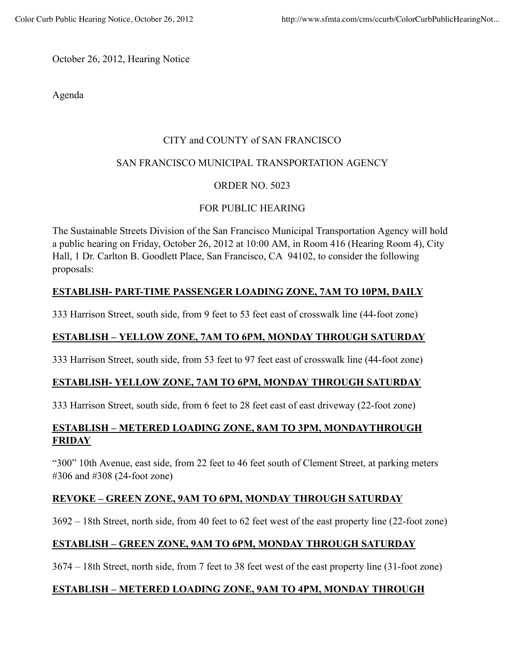October 26, 2012, Hearing Notice

Agenda

#### CITY and COUNTY of SAN FRANCISCO

#### SAN FRANCISCO MUNICIPAL TRANSPORTATION AGENCY

## ORDER NO. 5023

## FOR PUBLIC HEARING

The Sustainable Streets Division of the San Francisco Municipal Transportation Agency will hold a public hearing on Friday, October 26, 2012 at 10:00 AM, in Room 416 (Hearing Room 4), City Hall, 1 Dr. Carlton B. Goodlett Place, San Francisco, CA 94102, to consider the following proposals:

# **ESTABLISH- PART-TIME PASSENGER LOADING ZONE, 7AM TO 10PM, DAILY**

333 Harrison Street, south side, from 9 feet to 53 feet east of crosswalk line (44-foot zone)

## **ESTABLISH – YELLOW ZONE, 7AM TO 6PM, MONDAY THROUGH SATURDAY**

333 Harrison Street, south side, from 53 feet to 97 feet east of crosswalk line (44-foot zone)

# **ESTABLISH- YELLOW ZONE, 7AM TO 6PM, MONDAY THROUGH SATURDAY**

333 Harrison Street, south side, from 6 feet to 28 feet east of east driveway (22-foot zone)

# **ESTABLISH – METERED LOADING ZONE, 8AM TO 3PM, MONDAYTHROUGH FRIDAY**

"300" 10th Avenue, east side, from 22 feet to 46 feet south of Clement Street, at parking meters #306 and #308 (24-foot zone)

#### **REVOKE – GREEN ZONE, 9AM TO 6PM, MONDAY THROUGH SATURDAY**

3692 – 18th Street, north side, from 40 feet to 62 feet west of the east property line (22-foot zone)

#### **ESTABLISH – GREEN ZONE, 9AM TO 6PM, MONDAY THROUGH SATURDAY**

3674 – 18th Street, north side, from 7 feet to 38 feet west of the east property line (31-foot zone)

# **ESTABLISH – METERED LOADING ZONE, 9AM TO 4PM, MONDAY THROUGH**